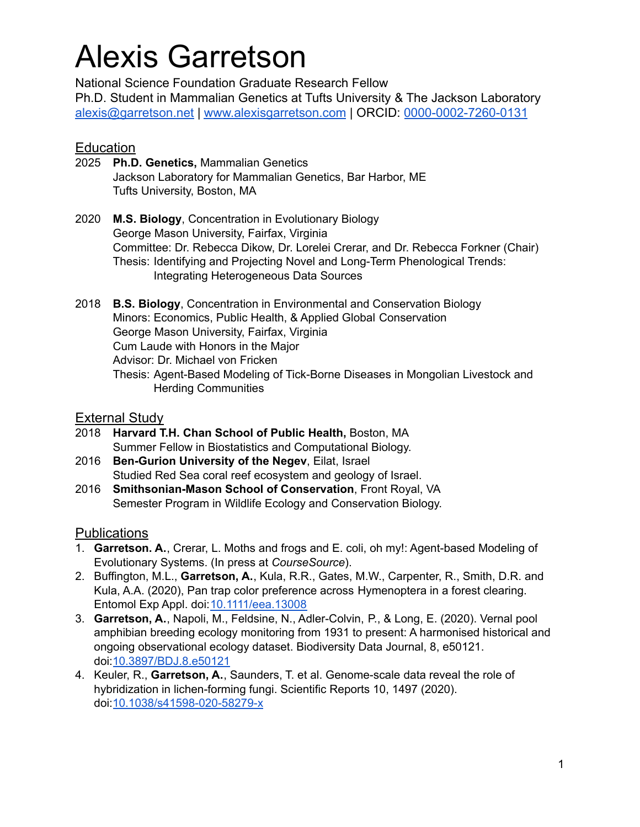# Alexis Garretson

National Science Foundation Graduate Research Fellow Ph.D. Student in Mammalian Genetics at Tufts University & The Jackson Laboratory [alexis@garretson.net](mailto:alexis@garretson.net) | [www.alexisgarretson.com](http://www.alexisgarretson.com) | ORCID: [0000-0002-7260-0131](https://orcid.org/0000-0002-7260-0131)

## **Education**

- 2025 **Ph.D. Genetics,** Mammalian Genetics Jackson Laboratory for Mammalian Genetics, Bar Harbor, ME Tufts University, Boston, MA
- 2020 **M.S. Biology**, Concentration in Evolutionary Biology George Mason University, Fairfax, Virginia Committee: Dr. Rebecca Dikow, Dr. Lorelei Crerar, and Dr. Rebecca Forkner (Chair) Thesis: Identifying and Projecting Novel and Long-Term Phenological Trends: Integrating Heterogeneous Data Sources
- 2018 **B.S. Biology**, Concentration in Environmental and Conservation Biology Minors: Economics, Public Health, & Applied Global Conservation George Mason University, Fairfax, Virginia Cum Laude with Honors in the Major Advisor: Dr. Michael von Fricken Thesis: Agent-Based Modeling of Tick-Borne Diseases in Mongolian Livestock and Herding Communities

### **External Study**

- 2018 **Harvard T.H. Chan School of Public Health,** Boston, MA Summer Fellow in Biostatistics and Computational Biology.
- 2016 **Ben-Gurion University of the Negev**, Eilat, Israel Studied Red Sea coral reef ecosystem and geology of Israel.
- 2016 **Smithsonian-Mason School of Conservation**, Front Royal, VA Semester Program in Wildlife Ecology and Conservation Biology.

## **Publications**

- 1. **Garretson. A.**, Crerar, L. Moths and frogs and E. coli, oh my!: Agent-based Modeling of Evolutionary Systems. (In press at *CourseSource*).
- 2. Buffington, M.L., **Garretson, A.**, Kula, R.R., Gates, M.W., Carpenter, R., Smith, D.R. and Kula, A.A. (2020), Pan trap color preference across Hymenoptera in a forest clearing. Entomol Exp Appl. doi:[10.1111/eea.13008](https://doi.org/10.1111/eea.13008)
- 3. **Garretson, A.**, Napoli, M., Feldsine, N., Adler-Colvin, P., & Long, E. (2020). Vernal pool amphibian breeding ecology monitoring from 1931 to present: A harmonised historical and ongoing observational ecology dataset. Biodiversity Data Journal, 8, e50121. doi:[10.3897/BDJ.8.e50121](https://doi.org/10.3897/BDJ.8.e50121)
- 4. Keuler, R., **Garretson, A.**, Saunders, T. et al. Genome-scale data reveal the role of hybridization in lichen-forming fungi. Scientific Reports 10, 1497 (2020). doi:[10.1038/s41598-020-58279-x](https://www.nature.com/articles/s41598-020-58279-x)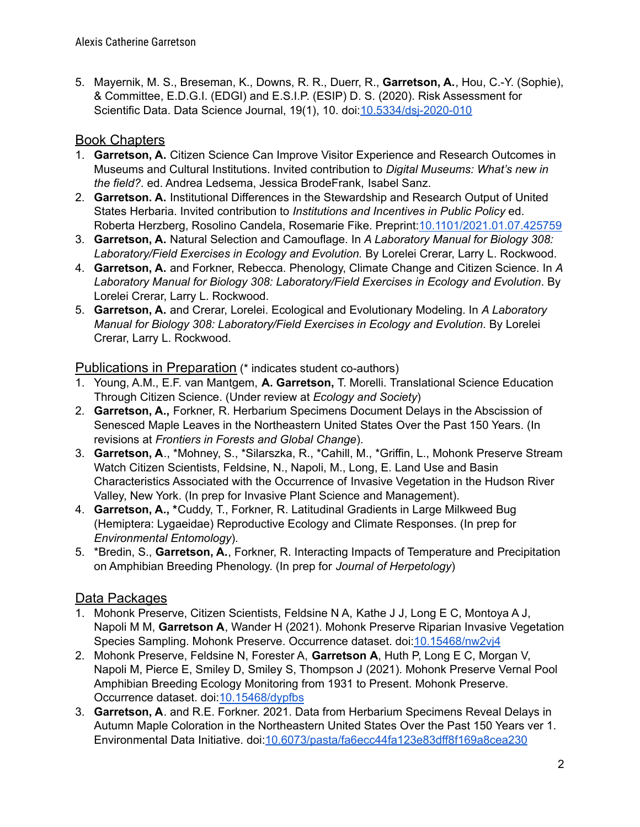5. Mayernik, M. S., Breseman, K., Downs, R. R., Duerr, R., **Garretson, A.**, Hou, C.-Y. (Sophie), & Committee, E.D.G.I. (EDGI) and E.S.I.P. (ESIP) D. S. (2020). Risk Assessment for Scientific Data. Data Science Journal, 19(1), 10. doi:[10.5334/dsj-2020-010](http://doi.org/10.5334/dsj-2020-010)

## Book Chapters

- 1. **Garretson, A.** Citizen Science Can Improve Visitor Experience and Research Outcomes in Museums and Cultural Institutions. Invited contribution to *Digital Museums: What's new in the field?*. ed. Andrea Ledsema, Jessica BrodeFrank, Isabel Sanz.
- 2. **Garretson. A.** Institutional Differences in the Stewardship and Research Output of United States Herbaria. Invited contribution to *Institutions and Incentives in Public Policy* ed. Roberta Herzberg, Rosolino Candela, Rosemarie Fike. Preprint:[10.1101/2021.01.07.425759](https://doi.org/10.1101/2021.01.07.425759)
- 3. **Garretson, A.** Natural Selection and Camouflage. In *A Laboratory Manual for Biology 308: Laboratory/Field Exercises in Ecology and Evolution.* By Lorelei Crerar, Larry L. Rockwood.
- 4. **Garretson, A.** and Forkner, Rebecca. Phenology, Climate Change and Citizen Science. In *A Laboratory Manual for Biology 308: Laboratory/Field Exercises in Ecology and Evolution*. By Lorelei Crerar, Larry L. Rockwood.
- 5. **Garretson, A.** and Crerar, Lorelei. Ecological and Evolutionary Modeling. In *A Laboratory Manual for Biology 308: Laboratory/Field Exercises in Ecology and Evolution*. By Lorelei Crerar, Larry L. Rockwood.

Publications in Preparation (\* indicates student co-authors)

- 1. Young, A.M., E.F. van Mantgem, **A. Garretson,** T. Morelli. Translational Science Education Through Citizen Science. (Under review at *Ecology and Society*)
- 2. **Garretson, A.,** Forkner, R. Herbarium Specimens Document Delays in the Abscission of Senesced Maple Leaves in the Northeastern United States Over the Past 150 Years. (In revisions at *Frontiers in Forests and Global Change*).
- 3. **Garretson, A**., \*Mohney, S., \*Silarszka, R., \*Cahill, M., \*Griffin, L., Mohonk Preserve Stream Watch Citizen Scientists, Feldsine, N., Napoli, M., Long, E. Land Use and Basin Characteristics Associated with the Occurrence of Invasive Vegetation in the Hudson River Valley, New York. (In prep for Invasive Plant Science and Management).
- 4. **Garretson, A., \***Cuddy, T., Forkner, R. Latitudinal Gradients in Large Milkweed Bug (Hemiptera: Lygaeidae) Reproductive Ecology and Climate Responses. (In prep for *Environmental Entomology*).
- 5. \*Bredin, S., **Garretson, A.**, Forkner, R. Interacting Impacts of Temperature and Precipitation on Amphibian Breeding Phenology. (In prep for *Journal of Herpetology*)

## Data Packages

- 1. Mohonk Preserve, Citizen Scientists, Feldsine N A, Kathe J J, Long E C, Montoya A J, Napoli M M, **Garretson A**, Wander H (2021). Mohonk Preserve Riparian Invasive Vegetation Species Sampling. Mohonk Preserve. Occurrence dataset. doi[:10.15468/nw2vj4](https://doi.org/10.15468/nw2vj4)
- 2. Mohonk Preserve, Feldsine N, Forester A, **Garretson A**, Huth P, Long E C, Morgan V, Napoli M, Pierce E, Smiley D, Smiley S, Thompson J (2021). Mohonk Preserve Vernal Pool Amphibian Breeding Ecology Monitoring from 1931 to Present. Mohonk Preserve. Occurrence dataset. doi:[10.15468/dypfbs](https://doi.org/10.15468/dypfbs)
- 3. **Garretson, A**. and R.E. Forkner. 2021. Data from Herbarium Specimens Reveal Delays in Autumn Maple Coloration in the Northeastern United States Over the Past 150 Years ver 1. Environmental Data Initiative. doi:[10.6073/pasta/fa6ecc44fa123e83dff8f169a8cea230](https://doi.org/10.6073/pasta/fa6ecc44fa123e83dff8f169a8cea230)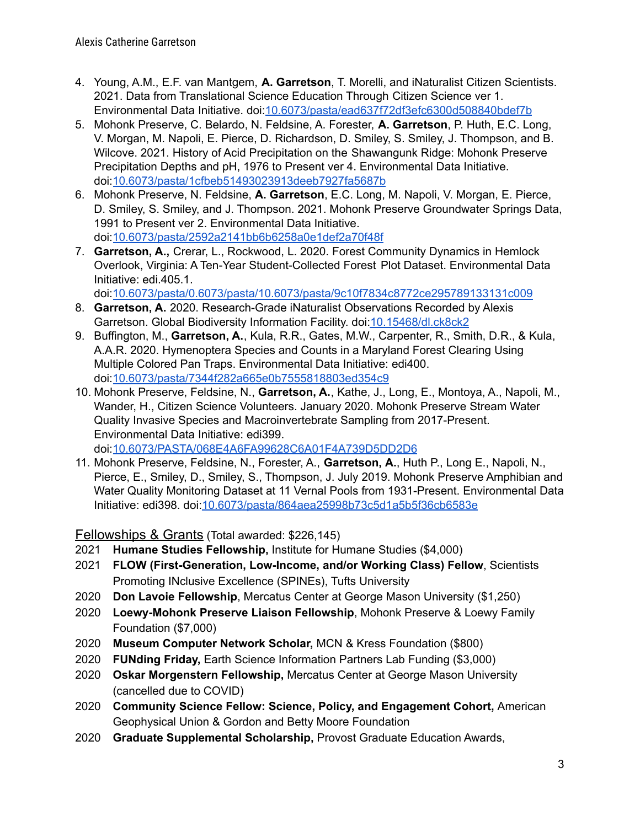- 4. Young, A.M., E.F. van Mantgem, **A. Garretson**, T. Morelli, and iNaturalist Citizen Scientists. 2021. Data from Translational Science Education Through Citizen Science ver 1. Environmental Data Initiative. doi:[10.6073/pasta/ead637f72df3efc6300d508840bdef7b](https://doi.org/10.6073/pasta/ead637f72df3efc6300d508840bdef7b)
- 5. Mohonk Preserve, C. Belardo, N. Feldsine, A. Forester, **A. Garretson**, P. Huth, E.C. Long, V. Morgan, M. Napoli, E. Pierce, D. Richardson, D. Smiley, S. Smiley, J. Thompson, and B. Wilcove. 2021. History of Acid Precipitation on the Shawangunk Ridge: Mohonk Preserve Precipitation Depths and pH, 1976 to Present ver 4. Environmental Data Initiative. doi:[10.6073/pasta/1cfbeb51493023913deeb7927fa5687b](https://doi.org/10.6073/pasta/1cfbeb51493023913deeb7927fa5687b)
- 6. Mohonk Preserve, N. Feldsine, **A. Garretson**, E.C. Long, M. Napoli, V. Morgan, E. Pierce, D. Smiley, S. Smiley, and J. Thompson. 2021. Mohonk Preserve Groundwater Springs Data, 1991 to Present ver 2. Environmental Data Initiative. doi:[10.6073/pasta/2592a2141bb6b6258a0e1def2a70f48f](https://doi.org/10.6073/pasta/2592a2141bb6b6258a0e1def2a70f48f)
- 7. **Garretson, A.,** Crerar, L., Rockwood, L. 2020. Forest Community Dynamics in Hemlock Overlook, Virginia: A Ten-Year Student-Collected Forest Plot Dataset. Environmental Data Initiative: edi.405.1.

doi:[10.6073/pasta/0.6073/pasta/10.6073/pasta/9c10f7834c8772ce295789133131c009](https://doi.org/10.6073/pasta/9c10f7834c8772ce295789133131c009)

- 8. **Garretson, A.** 2020. Research-Grade iNaturalist Observations Recorded by Alexis Garretson. Global Biodiversity Information Facility. doi[:10.15468/dl.ck8ck2](https://doi.org/10.15468/dl.ck8ck2)
- 9. Buffington, M., **Garretson, A.**, Kula, R.R., Gates, M.W., Carpenter, R., Smith, D.R., & Kula, A.A.R. 2020. Hymenoptera Species and Counts in a Maryland Forest Clearing Using Multiple Colored Pan Traps. Environmental Data Initiative: edi400. doi:[10.6073/pasta/7344f282a665e0b7555818803ed354c9](https://doi.org/10.6073/pasta/7344f282a665e0b7555818803ed354c9)
- 10. Mohonk Preserve, Feldsine, N., **Garretson, A.**, Kathe, J., Long, E., Montoya, A., Napoli, M., Wander, H., Citizen Science Volunteers. January 2020. Mohonk Preserve Stream Water Quality Invasive Species and Macroinvertebrate Sampling from 2017-Present. Environmental Data Initiative: edi399. doi:[10.6073/PASTA/068E4A6FA99628C6A01F4A739D5DD2D6](https://doi.org/10.6073/PASTA/068E4A6FA99628C6A01F4A739D5DD2D6)

11. Mohonk Preserve, Feldsine, N., Forester, A., **Garretson, A.**, Huth P., Long E., Napoli, N., Pierce, E., Smiley, D., Smiley, S., Thompson, J. July 2019. Mohonk Preserve Amphibian and Water Quality Monitoring Dataset at 11 Vernal Pools from 1931-Present. Environmental Data

Initiative: edi398. doi[:10.6073/pasta/864aea25998b73c5d1a5b5f36cb6583e](https://doi.org/10.6073/pasta/864aea25998b73c5d1a5b5f36cb6583e)

Fellowships & Grants (Total awarded: \$226,145)

- 2021 **Humane Studies Fellowship,** Institute for Humane Studies (\$4,000)
- 2021 **FLOW (First-Generation, Low-Income, and/or Working Class) Fellow**, Scientists Promoting INclusive Excellence (SPINEs), Tufts University
- 2020 **Don Lavoie Fellowship**, Mercatus Center at George Mason University (\$1,250)
- 2020 **Loewy-Mohonk Preserve Liaison Fellowship**, Mohonk Preserve & Loewy Family Foundation (\$7,000)
- 2020 **Museum Computer Network Scholar,** MCN & Kress Foundation (\$800)
- 2020 **FUNding Friday,** Earth Science Information Partners Lab Funding (\$3,000)
- 2020 **Oskar Morgenstern Fellowship,** Mercatus Center at George Mason University (cancelled due to COVID)
- 2020 **Community Science Fellow: Science, Policy, and Engagement Cohort,** American Geophysical Union & Gordon and Betty Moore Foundation
- 2020 **Graduate Supplemental Scholarship,** Provost Graduate Education Awards,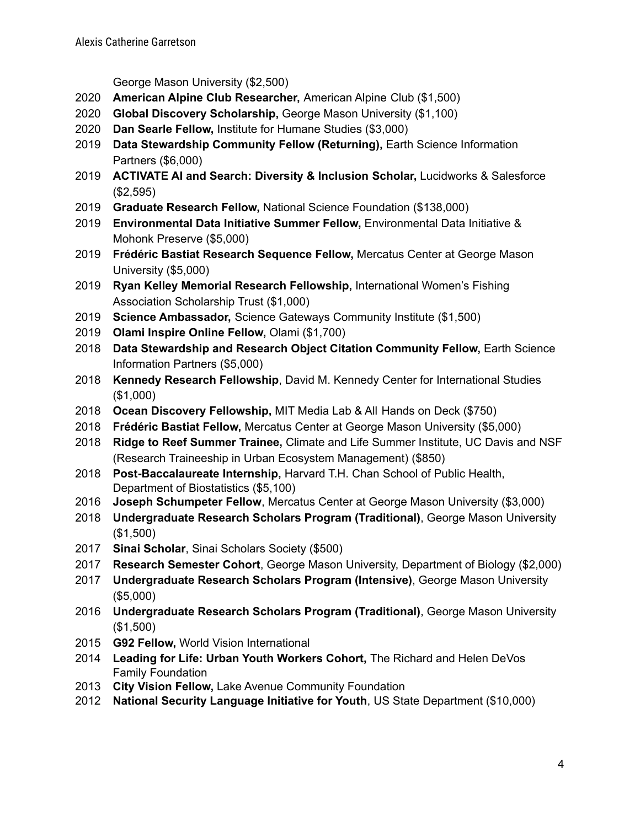George Mason University (\$2,500)

- **American Alpine Club Researcher,** American Alpine Club (\$1,500)
- **Global Discovery Scholarship,** George Mason University (\$1,100)
- **Dan Searle Fellow,** Institute for Humane Studies (\$3,000)
- **Data Stewardship Community Fellow (Returning),** Earth Science Information Partners (\$6,000)
- **ACTIVATE AI and Search: Diversity & Inclusion Scholar,** Lucidworks & Salesforce (\$2,595)
- **Graduate Research Fellow,** National Science Foundation (\$138,000)
- **Environmental Data Initiative Summer Fellow,** Environmental Data Initiative & Mohonk Preserve (\$5,000)
- **Frédéric Bastiat Research Sequence Fellow,** Mercatus Center at George Mason University (\$5,000)
- **Ryan Kelley Memorial Research Fellowship,** International Women's Fishing Association Scholarship Trust (\$1,000)
- **Science Ambassador,** Science Gateways Community Institute (\$1,500)
- **Olami Inspire Online Fellow,** Olami (\$1,700)
- **Data Stewardship and Research Object Citation Community Fellow,** Earth Science Information Partners (\$5,000)
- **Kennedy Research Fellowship**, David M. Kennedy Center for International Studies (\$1,000)
- **Ocean Discovery Fellowship,** MIT Media Lab & All Hands on Deck (\$750)
- **Frédéric Bastiat Fellow,** Mercatus Center at George Mason University (\$5,000)
- **Ridge to Reef Summer Trainee,** Climate and Life Summer Institute, UC Davis and NSF (Research Traineeship in Urban Ecosystem Management) (\$850)
- **Post-Baccalaureate Internship,** Harvard T.H. Chan School of Public Health, Department of Biostatistics (\$5,100)
- **Joseph Schumpeter Fellow**, Mercatus Center at George Mason University (\$3,000)
- **Undergraduate Research Scholars Program (Traditional)**, George Mason University (\$1,500)
- **Sinai Scholar**, Sinai Scholars Society (\$500)
- **Research Semester Cohort**, George Mason University, Department of Biology (\$2,000)
- **Undergraduate Research Scholars Program (Intensive)**, George Mason University (\$5,000)
- **Undergraduate Research Scholars Program (Traditional)**, George Mason University (\$1,500)
- **G92 Fellow,** World Vision International
- **Leading for Life: Urban Youth Workers Cohort,** The Richard and Helen DeVos Family Foundation
- **City Vision Fellow,** Lake Avenue Community Foundation
- **National Security Language Initiative for Youth**, US State Department (\$10,000)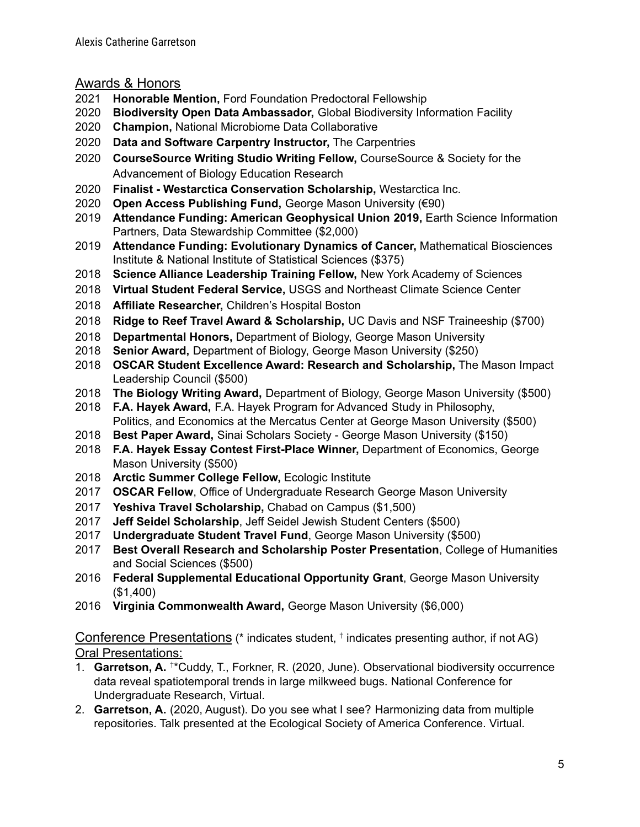Awards & Honors

- **Honorable Mention,** Ford Foundation Predoctoral Fellowship
- **Biodiversity Open Data Ambassador,** Global Biodiversity Information Facility
- **Champion,** National Microbiome Data Collaborative
- **Data and Software Carpentry Instructor,** The Carpentries
- **CourseSource Writing Studio Writing Fellow,** CourseSource & Society for the Advancement of Biology Education Research
- **Finalist - Westarctica Conservation Scholarship,** Westarctica Inc.
- **Open Access Publishing Fund,** George Mason University (€90)
- **Attendance Funding: American Geophysical Union 2019,** Earth Science Information Partners, Data Stewardship Committee (\$2,000)
- **Attendance Funding: Evolutionary Dynamics of Cancer,** Mathematical Biosciences Institute & National Institute of Statistical Sciences (\$375)
- **Science Alliance Leadership Training Fellow,** New York Academy of Sciences
- **Virtual Student Federal Service,** USGS and Northeast Climate Science Center
- **Affiliate Researcher,** Children's Hospital Boston
- **Ridge to Reef Travel Award & Scholarship,** UC Davis and NSF Traineeship (\$700)
- **Departmental Honors,** Department of Biology, George Mason University
- **Senior Award,** Department of Biology, George Mason University (\$250)
- **OSCAR Student Excellence Award: Research and Scholarship,** The Mason Impact Leadership Council (\$500)
- **The Biology Writing Award,** Department of Biology, George Mason University (\$500)
- **F.A. Hayek Award,** F.A. Hayek Program for Advanced Study in Philosophy, Politics, and Economics at the Mercatus Center at George Mason University (\$500)
- **Best Paper Award,** Sinai Scholars Society George Mason University (\$150)
- **F.A. Hayek Essay Contest First-Place Winner,** Department of Economics, George Mason University (\$500)
- **Arctic Summer College Fellow,** Ecologic Institute
- **OSCAR Fellow**, Office of Undergraduate Research George Mason University
- **Yeshiva Travel Scholarship,** Chabad on Campus (\$1,500)
- **Jeff Seidel Scholarship**, Jeff Seidel Jewish Student Centers (\$500)
- **Undergraduate Student Travel Fund**, George Mason University (\$500)
- **Best Overall Research and Scholarship Poster Presentation**, College of Humanities and Social Sciences (\$500)
- **Federal Supplemental Educational Opportunity Grant**, George Mason University (\$1,400)
- **Virginia Commonwealth Award,** George Mason University (\$6,000)

Conference Presentations (\* indicates student, <sup>†</sup> indicates presenting author, if not AG) Oral Presentations:

- 1. **Garretson, A.** <sup>+\*</sup>Cuddy, T., Forkner, R. (2020, June). Observational biodiversity occurrence data reveal spatiotemporal trends in large milkweed bugs. National Conference for Undergraduate Research, Virtual.
- 2. **Garretson, A.** (2020, August). Do you see what I see? Harmonizing data from multiple repositories. Talk presented at the Ecological Society of America Conference. Virtual.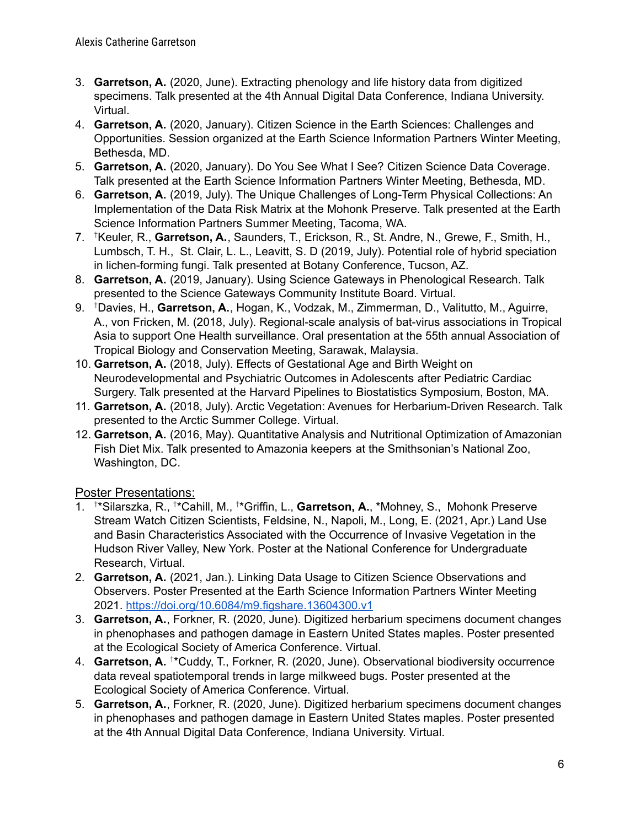- 3. **Garretson, A.** (2020, June). Extracting phenology and life history data from digitized specimens. Talk presented at the 4th Annual Digital Data Conference, Indiana University. Virtual.
- 4. **Garretson, A.** (2020, January). Citizen Science in the Earth Sciences: Challenges and Opportunities. Session organized at the Earth Science Information Partners Winter Meeting, Bethesda, MD.
- 5. **Garretson, A.** (2020, January). Do You See What I See? Citizen Science Data Coverage. Talk presented at the Earth Science Information Partners Winter Meeting, Bethesda, MD.
- 6. **Garretson, A.** (2019, July). The Unique Challenges of Long-Term Physical Collections: An Implementation of the Data Risk Matrix at the Mohonk Preserve. Talk presented at the Earth Science Information Partners Summer Meeting, Tacoma, WA.
- 7. †Keuler, R., **Garretson, A.**, Saunders, T., Erickson, R., St. Andre, N., Grewe, F., Smith, H., Lumbsch, T. H., St. Clair, L. L., Leavitt, S. D (2019, July). Potential role of hybrid speciation in lichen-forming fungi. Talk presented at Botany Conference, Tucson, AZ.
- 8. **Garretson, A.** (2019, January). Using Science Gateways in Phenological Research. Talk presented to the Science Gateways Community Institute Board. Virtual.
- 9. †Davies, H., **Garretson, A.**, Hogan, K., Vodzak, M., Zimmerman, D., Valitutto, M., Aguirre, A., von Fricken, M. (2018, July). Regional-scale analysis of bat-virus associations in Tropical Asia to support One Health surveillance. Oral presentation at the 55th annual Association of Tropical Biology and Conservation Meeting, Sarawak, Malaysia.
- 10. **Garretson, A.** (2018, July). Effects of Gestational Age and Birth Weight on Neurodevelopmental and Psychiatric Outcomes in Adolescents after Pediatric Cardiac Surgery. Talk presented at the Harvard Pipelines to Biostatistics Symposium, Boston, MA.
- 11. **Garretson, A.** (2018, July). Arctic Vegetation: Avenues for Herbarium-Driven Research. Talk presented to the Arctic Summer College. Virtual.
- 12. **Garretson, A.** (2016, May). Quantitative Analysis and Nutritional Optimization of Amazonian Fish Diet Mix. Talk presented to Amazonia keepers at the Smithsonian's National Zoo, Washington, DC.

## Poster Presentations:

- 1. <sup>†\*</sup>Silarszka, R., <sup>†\*</sup>Cahill, M., <sup>†\*</sup>Griffin, L., **Garretson, A.**, \*Mohney, S., Mohonk Preserve Stream Watch Citizen Scientists, Feldsine, N., Napoli, M., Long, E. (2021, Apr.) Land Use and Basin Characteristics Associated with the Occurrence of Invasive Vegetation in the Hudson River Valley, New York. Poster at the National Conference for Undergraduate Research, Virtual.
- 2. **Garretson, A.** (2021, Jan.). Linking Data Usage to Citizen Science Observations and Observers. Poster Presented at the Earth Science Information Partners Winter Meeting 2021. <https://doi.org/10.6084/m9.figshare.13604300.v1>
- 3. **Garretson, A.**, Forkner, R. (2020, June). Digitized herbarium specimens document changes in phenophases and pathogen damage in Eastern United States maples. Poster presented at the Ecological Society of America Conference. Virtual.
- 4. **Garretson, A.** <sup>+\*</sup>Cuddy, T., Forkner, R. (2020, June). Observational biodiversity occurrence data reveal spatiotemporal trends in large milkweed bugs. Poster presented at the Ecological Society of America Conference. Virtual.
- 5. **Garretson, A.**, Forkner, R. (2020, June). Digitized herbarium specimens document changes in phenophases and pathogen damage in Eastern United States maples. Poster presented at the 4th Annual Digital Data Conference, Indiana University. Virtual.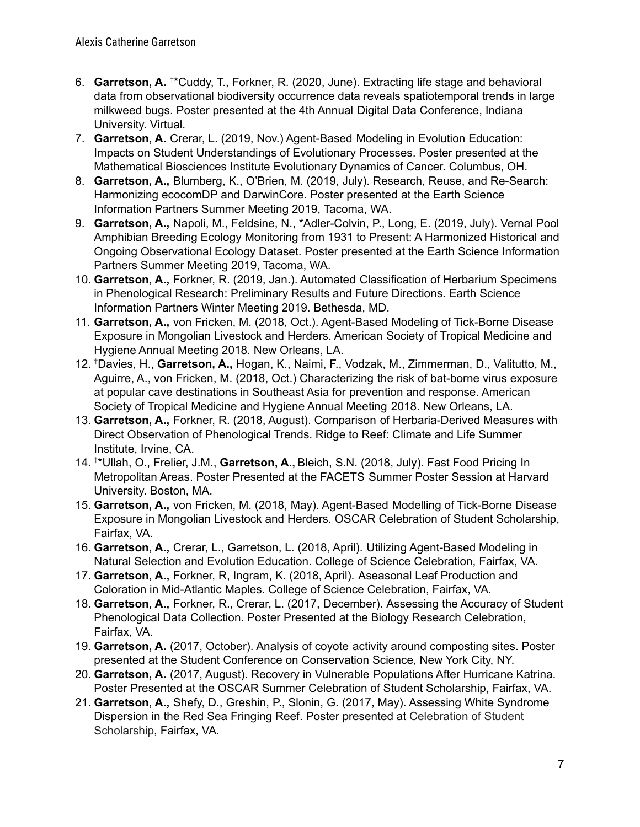- 6. Garretson, A. <sup>†\*</sup>Cuddy, T., Forkner, R. (2020, June). Extracting life stage and behavioral data from observational biodiversity occurrence data reveals spatiotemporal trends in large milkweed bugs. Poster presented at the 4th Annual Digital Data Conference, Indiana University. Virtual.
- 7. **Garretson, A.** Crerar, L. (2019, Nov.) Agent-Based Modeling in Evolution Education: Impacts on Student Understandings of Evolutionary Processes. Poster presented at the Mathematical Biosciences Institute Evolutionary Dynamics of Cancer. Columbus, OH.
- 8. **Garretson, A.,** Blumberg, K., O'Brien, M. (2019, July). Research, Reuse, and Re-Search: Harmonizing ecocomDP and DarwinCore. Poster presented at the Earth Science Information Partners Summer Meeting 2019, Tacoma, WA.
- 9. **Garretson, A.,** Napoli, M., Feldsine, N., \*Adler-Colvin, P., Long, E. (2019, July). Vernal Pool Amphibian Breeding Ecology Monitoring from 1931 to Present: A Harmonized Historical and Ongoing Observational Ecology Dataset. Poster presented at the Earth Science Information Partners Summer Meeting 2019, Tacoma, WA.
- 10. **Garretson, A.,** Forkner, R. (2019, Jan.). Automated Classification of Herbarium Specimens in Phenological Research: Preliminary Results and Future Directions. Earth Science Information Partners Winter Meeting 2019. Bethesda, MD.
- 11. **Garretson, A.,** von Fricken, M. (2018, Oct.). Agent-Based Modeling of Tick-Borne Disease Exposure in Mongolian Livestock and Herders. American Society of Tropical Medicine and Hygiene Annual Meeting 2018. New Orleans, LA.
- 12. †Davies, H., **Garretson, A.,** Hogan, K., Naimi, F., Vodzak, M., Zimmerman, D., Valitutto, M., Aguirre, A., von Fricken, M. (2018, Oct.) Characterizing the risk of bat-borne virus exposure at popular cave destinations in Southeast Asia for prevention and response. American Society of Tropical Medicine and Hygiene Annual Meeting 2018. New Orleans, LA.
- 13. **Garretson, A.,** Forkner, R. (2018, August). Comparison of Herbaria-Derived Measures with Direct Observation of Phenological Trends. Ridge to Reef: Climate and Life Summer Institute, Irvine, CA.
- 14. † \*Ullah, O., Frelier, J.M., **Garretson, A.,** Bleich, S.N. (2018, July). Fast Food Pricing In Metropolitan Areas. Poster Presented at the FACETS Summer Poster Session at Harvard University. Boston, MA.
- 15. **Garretson, A.,** von Fricken, M. (2018, May). Agent-Based Modelling of Tick-Borne Disease Exposure in Mongolian Livestock and Herders. OSCAR Celebration of Student Scholarship, Fairfax, VA.
- 16. **Garretson, A.,** Crerar, L., Garretson, L. (2018, April). Utilizing Agent-Based Modeling in Natural Selection and Evolution Education. College of Science Celebration, Fairfax, VA.
- 17. **Garretson, A.,** Forkner, R, Ingram, K. (2018, April). Aseasonal Leaf Production and Coloration in Mid-Atlantic Maples. College of Science Celebration, Fairfax, VA.
- 18. **Garretson, A.,** Forkner, R., Crerar, L. (2017, December). Assessing the Accuracy of Student Phenological Data Collection. Poster Presented at the Biology Research Celebration, Fairfax, VA.
- 19. **Garretson, A.** (2017, October). Analysis of coyote activity around composting sites. Poster presented at the Student Conference on Conservation Science, New York City, NY.
- 20. **Garretson, A.** (2017, August). Recovery in Vulnerable Populations After Hurricane Katrina. Poster Presented at the OSCAR Summer Celebration of Student Scholarship, Fairfax, VA.
- 21. **Garretson, A.,** Shefy, D., Greshin, P., Slonin, G. (2017, May). Assessing White Syndrome Dispersion in the Red Sea Fringing Reef. Poster presented at Celebration of Student Scholarship, Fairfax, VA.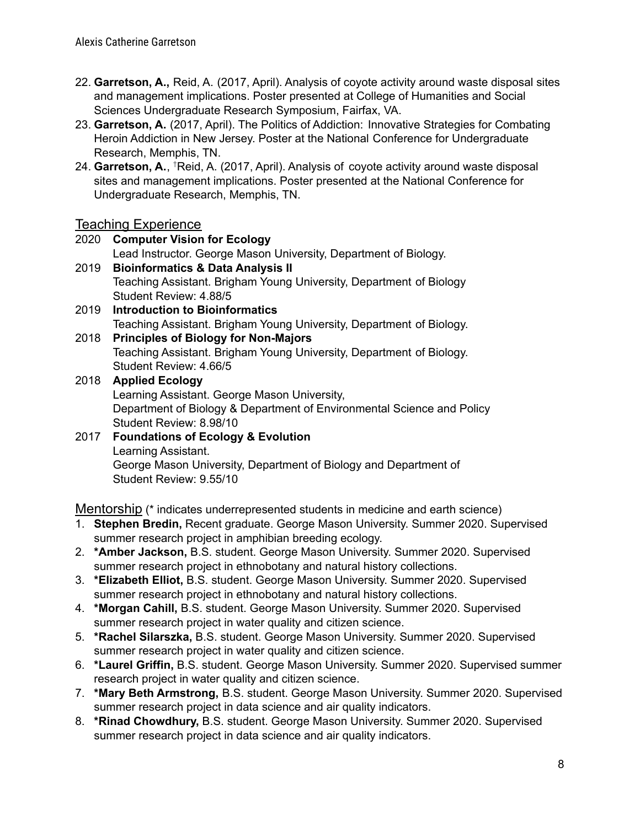- 22. **Garretson, A.,** Reid, A. (2017, April). Analysis of coyote activity around waste disposal sites and management implications. Poster presented at College of Humanities and Social Sciences Undergraduate Research Symposium, Fairfax, VA.
- 23. **Garretson, A.** (2017, April). The Politics of Addiction: Innovative Strategies for Combating Heroin Addiction in New Jersey. Poster at the National Conference for Undergraduate Research, Memphis, TN.
- 24. Garretson, A., <sup>†</sup>Reid, A. (2017, April). Analysis of coyote activity around waste disposal sites and management implications. Poster presented at the National Conference for Undergraduate Research, Memphis, TN.

## Teaching Experience

2020 **Computer Vision for Ecology** Lead Instructor. George Mason University, Department of Biology. 2019 **Bioinformatics & Data Analysis II** Teaching Assistant. Brigham Young University, Department of Biology Student Review: 4.88/5 2019 **Introduction to Bioinformatics** Teaching Assistant. Brigham Young University, Department of Biology. 2018 **Principles of Biology for Non-Majors** Teaching Assistant. Brigham Young University, Department of Biology. Student Review: 4.66/5 2018 **Applied Ecology** Learning Assistant. George Mason University, Department of Biology & Department of Environmental Science and Policy Student Review: 8.98/10 2017 **Foundations of Ecology & Evolution** Learning Assistant. George Mason University, Department of Biology and Department of Student Review: 9.55/10

Mentorship (\* indicates underrepresented students in medicine and earth science)

- 1. **Stephen Bredin,** Recent graduate. George Mason University. Summer 2020. Supervised summer research project in amphibian breeding ecology.
- 2. **\*Amber Jackson,** B.S. student. George Mason University. Summer 2020. Supervised summer research project in ethnobotany and natural history collections.
- 3. **\*Elizabeth Elliot,** B.S. student. George Mason University. Summer 2020. Supervised summer research project in ethnobotany and natural history collections.
- 4. **\*Morgan Cahill,** B.S. student. George Mason University. Summer 2020. Supervised summer research project in water quality and citizen science.
- 5. **\*Rachel Silarszka,** B.S. student. George Mason University. Summer 2020. Supervised summer research project in water quality and citizen science.
- 6. **\*Laurel Griffin,** B.S. student. George Mason University. Summer 2020. Supervised summer research project in water quality and citizen science.
- 7. **\*Mary Beth Armstrong,** B.S. student. George Mason University. Summer 2020. Supervised summer research project in data science and air quality indicators.
- 8. **\*Rinad Chowdhury,** B.S. student. George Mason University. Summer 2020. Supervised summer research project in data science and air quality indicators.